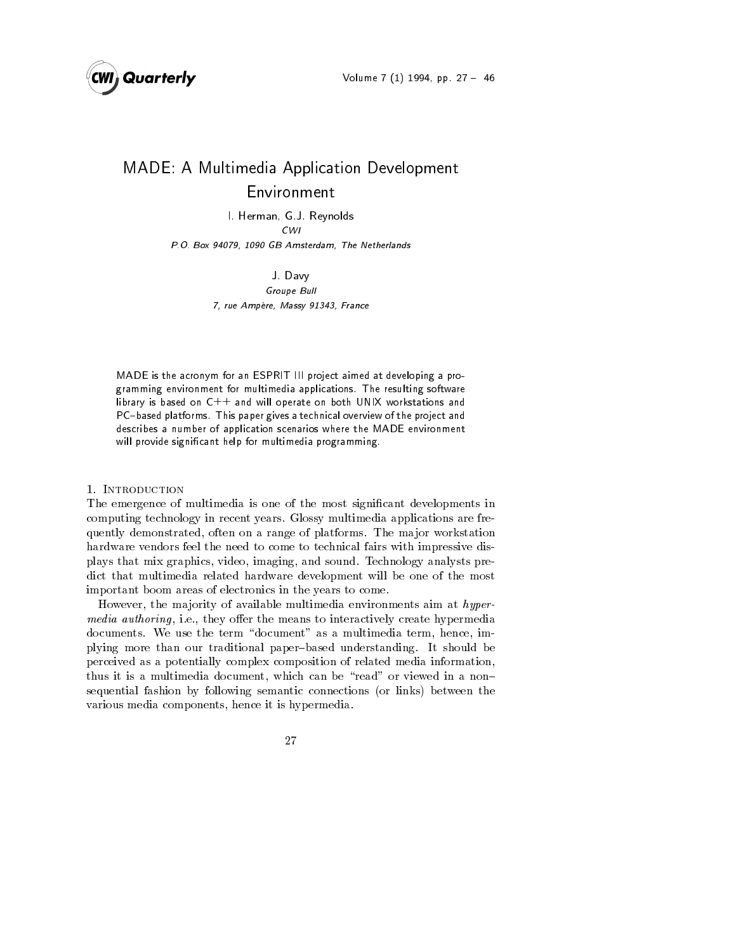

# MADE- A Multimedia Application Development Environment

I-leads are the second contract of the second second second second second second second second second second second second second second second second second second second second second second second second second second s CWI

P-O- Box GB Amsterdam The Netherlands

J- Davy Groupe Bull rue and an external and an extensive and an extensive service of the Masseum of the Masseum of the Masseum of

MADE is the acronym for an ESPRIT III project aimed at developing a pro gramming environment for multimedia applications. The resulting software library is based on  $C++$  and will operate on both UNIX workstations and PC-based platforms. This paper gives a technical overview of the project and describes a number of application scenarios where the MADE environment will provide significant help for multimedia programming.

# 1. INTRODUCTION

The emergence of multimedia is one of the most signi-cant developments in computing technology in recent years Glossy multimedia applications are fre quently demonstrated, often on a range of platforms. The major workstation hardware vendors feel the need to come to technical fairs with impressive dis plays that mix graphics, video, imaging, and sound. Technology analysts predict that multimedia related hardware development will be one of the most important boom areas of electronics in the years to come

However, the majority of available multimedia environments aim at hypermedia authoring, i.e., they offer the means to interactively create hypermedia documents. We use the term "document" as a multimedia term, hence, implying more than our traditional paper-based understanding. It should be perceived as a potentially complex composition of related media information thus it is a multimedia document, which can be "read" or viewed in a nonsequential fashion by following semantic connections or links between the various media components, hence it is hypermedia.

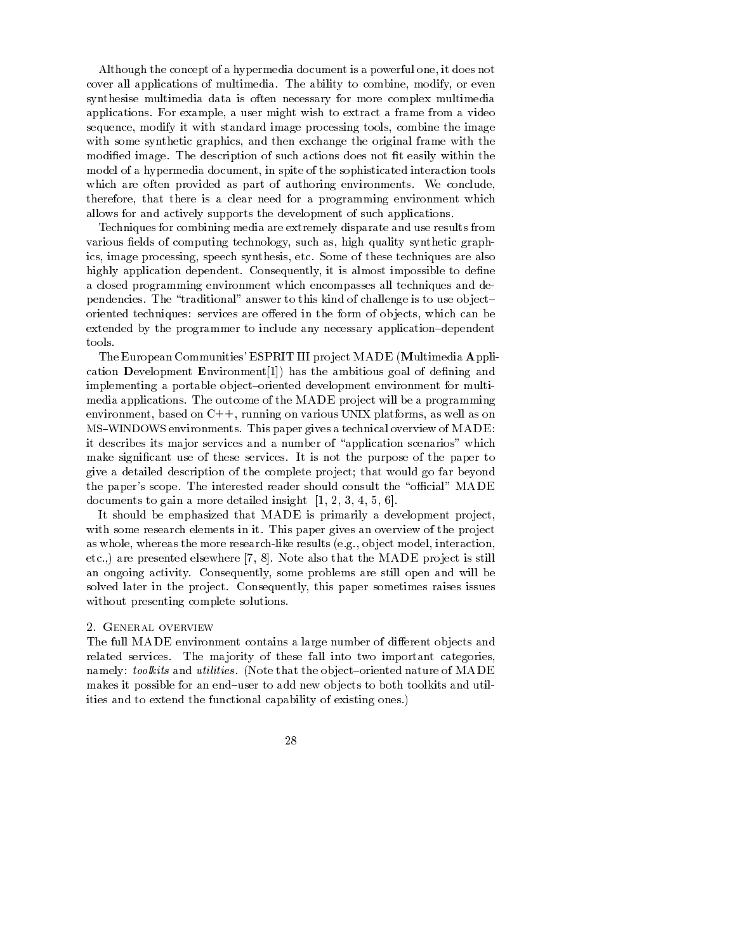Although the concept of a hypermedia document is a powerful one it does not cover all applications of multimedia. The ability to combine, modify, or even synthesise multimedia data is often necessary for more complex multimedia applications. For example, a user might wish to extract a frame from a video sequence, modify it with standard image processing tools, combine the image with some synthetic graphics and then exchange the original frame with the modi-ed image The description of such actions does not -t easily within the model of a hypermedia document, in spite of the sophisticated interaction tools which are often provided as part of authoring environments. We conclude, therefore, that there is a clear need for a programming environment which allows for and actively supports the development of such applications

Techniques for combining media are extremely disparate and use results from elds of computing technology synthetic graphs of computing technology synthetic graphs of the computation of co ics, image processing, speech synthesis, etc. Some of these techniques are also highly application dependent Consequently it is almost impossible to de-ne a closed programming environment which encompasses all techniques and de pendencies. The "traditional" answer to this kind of challenge is to use objectoriented techniques: services are offered in the form of objects, which can be extended by the programmer to include any necessary application-dependent tools

The European Communities' ESPRIT III project  $\operatorname{MADE}$  (Multimedia Application Development Environment  $|1|$ ) has the ambitious goal of defining and implementing a portable object-oriented development environment for multimedia applications. The outcome of the MADE project will be a programming environment, based on  $C++$ , running on various UNIX platforms, as well as on MS-WINDOWS environments This paper gives a technical overview of MADE it describes its major services and a number of "application scenarios" which cant use of the services it is not the purpose of the paper to the paper to the paper to the paper to the paper give a detailed description of the complete project; that would go far beyond the paper's scope. The interested reader should consult the "official" MADE documents to gain a more detailed insight  $[1, 2, 3, 4, 5, 6]$ .

It should be emphasized that MADE is primarily a development project, with some research elements in it. This paper gives an overview of the project as who the more results interaction and the model interaction of the problem interaction of the contraction of etc..) are presented elsewhere  $[7, 8]$ . Note also that the MADE project is still an ongoing activity. Consequently, some problems are still open and will be solved later in the project. Consequently, this paper sometimes raises issues without presenting complete solutions

The full MADE environment contains a large number of different objects and related services. The majority of these fall into two important categories, namely toolkits and utilities and utilities and utilities in the observed nature of MADEE in the observed natur makes it possible for an end-user to add new objects to both toolkits and utilities and to extend the functional capability of existing ones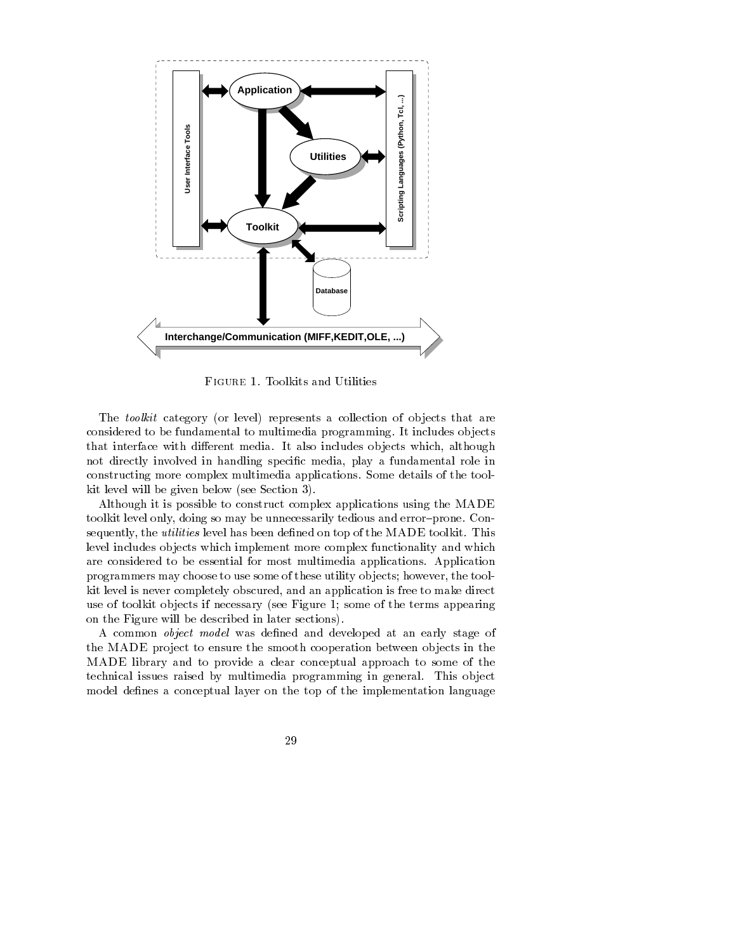

FIGURE 1. Toolkits and Utilities

The toolkit category or level represents a collection of ob jects that are considered to be fundamental to multimedia programming It includes ob jects that interface with different media. It also includes objects which, although not directly involved in handling speci-c media play a fundamental role in constructing more complex multimedia applications Some details of the tool kit level will be given below see Section

Although it is possible to construct complex applications using the MADE toolkit level only, doing so may be unnecessarily tedious and error-prone. Consequently the utilities level has been de-ned on top of the MADE toolkitThis level includes ob jects which implement more complex functionality and which are considered to be essential for most multimedia applications. Application programmers may choose to use some of these utility objects; however, the toolkit level is never completely obscured, and an application is free to make direct see to to the terms if it is necessary (the terms all the terms appearing the terms appearing the terms appearing on the Figure will be described in later sections

A common object model was de-ned and developed at an early stage of the MADE project to ensure the smooth cooperation between objects in the MADE library and to provide a clear conceptual approach to some of the technical issues raised by multimedia programming in general. This object model de-nes a conceptual layer on the top of the implementation language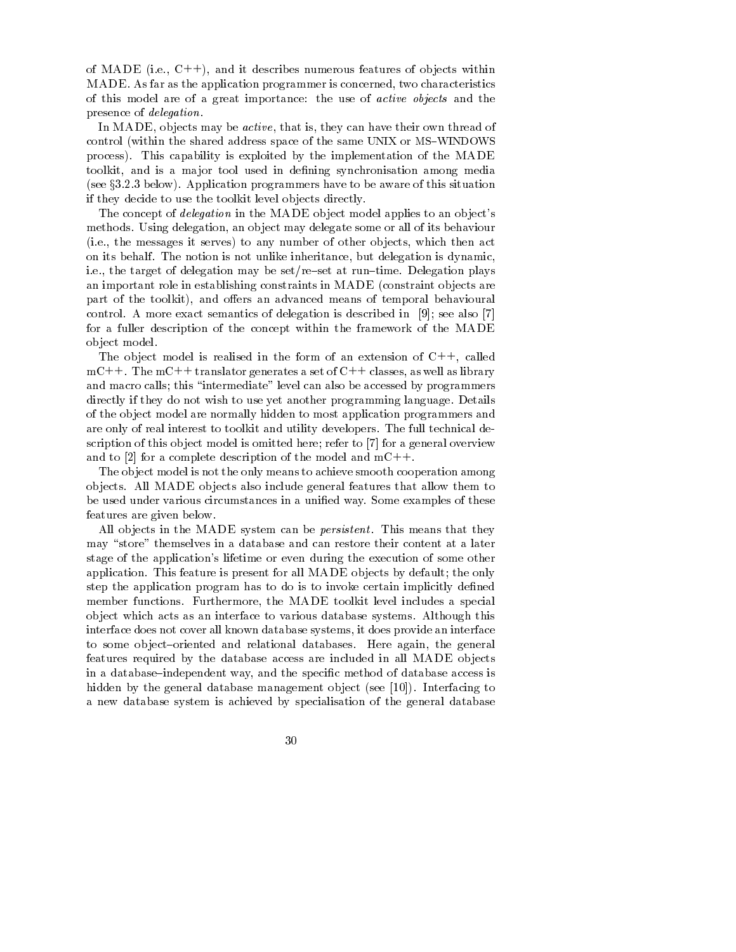of  $\mathbf{m}$  and  $\mathbf{m}$  is a secret it describes numerous features of objects within MADE. As far as the application programmer is concerned, two characteristics of this model are of a great importance: the use of *active objects* and the presence of delegation

In MADE, objects may be *active*, that is, they can have their own thread of control within the shared address space of the same UNIX or MS-WINDOWS process). This capability is exploited by the implementation of the MADE toolkit and isa ma jor tool used in de-ning synchronisation among media see your and the programmer programmers made to be a the this situation of the situation of the situation of t if they decide to use the toolkit level objects directly.

The concept of *delegation* in the MADE object model applies to an object's methods. Using delegation, an object may delegate some or all of its behaviour ie the messages it serves to any number of other ob jects which then act on its behalf. The notion is not unlike inheritance, but delegation is dynamic, i.e., the target of delegation may be set/re-set at run-time. Delegation plays an important role in establishing constraints in MADE constraint ob jects are part of the toolkit), and offers an advanced means of temporal behavioural control. A more exact semantics of delegation is described in  $[9]$ ; see also [7] for a fuller description of the concept within the framework of the MADE ob ject model

The object model is realised in the form of an extension of  $C++$ , called mC++. The mC++ translator generates a set of C++ classes, as well as library and macro calls; this "intermediate" level can also be accessed by programmers directly if they do not wish to use yet another programming language. Details of the ob ject model are normally hidden to most application programmers and are only of real interest to toolkit and utility developers The full technical de scription of this object model is omitted here; refer to  $[7]$  for a general overview and to [2] for a complete description of the model and  $mC++$ .

The object model is not the only means to achieve smooth cooperation among ob jects All MADE ob jects also include general features that allow them to be used under various circumstances in a uni-ed way Some examples of these features are given below

All objects in the MADE system can be *persistent*. This means that they may "store" themselves in a database and can restore their content at a later stage of the application's lifetime or even during the execution of some other application. This feature is present for all MADE objects by default; the only step the application program has to do is to invoke certain implicitly de-ned member functions. Furthermore, the MADE toolkit level includes a special ob ject which acts as an interface to various database systems Although this interface does not cover all known database systems it does provide an interface to some object-oriented and relational databases. Here again, the general features required by the database access are included in all MADE ob jects in a database independent way, which specificates in the specific modern control to access is hidden by the general database management ob ject see Interfacing to a new database system is achieved by specialisation of the general database

30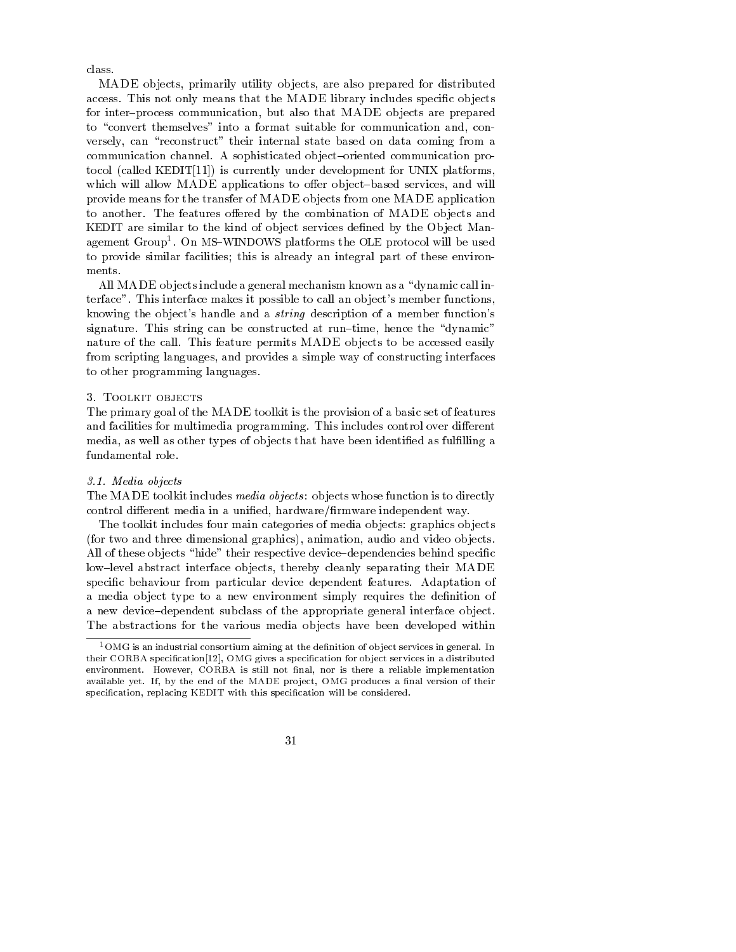class.

MADE objects, primarily utility objects, are also prepared for distributed access This not only means that the MADE library includes specific and prove for inter-process communication, but also that MADE objects are prepared to "convert themselves" into a format suitable for communication and, conversely, can "reconstruct" their internal state based on data coming from a communication channel. A sophisticated object-oriented communication protocol (called Kebberg is) is currently under development for UNIX platforms (  $\sim$ which will allow MADE applications to offer object-based services, and will provide means for the transfer of MADE ob jects from one MADE application to another. The features offered by the combination of MADE objects and KEDIT are similar to the kind of ob ject services de-ned by the Ob ject Man agement Group". On MS-WINDOWS platforms the OLE protocol will be used to provide similar facilities; this is already an integral part of these environments

All MADE objects include a general mechanism known as a "dynamic call interface". This interface makes it possible to call an object's member functions, knowing the object's handle and a *string* description of a member function's signature. This string can be constructed at run-time, hence the "dynamic" nature of the call. This feature permits MADE objects to be accessed easily from scripting languages, and provides a simple way of constructing interfaces to other programming languages

The primary goal of the MADE toolkit is the provision of a basic set of features and facilities for multimedia programming. This includes control over different media as well as other types of ob jects that have been identi-ed as ful-lling a fundamental role

#### 3.1. Media objects

The MADE toolkit includes *media objects*: objects whose function is to directly control dierent media in a uni-ed hardware-rmware independent way

The toolkit includes four main categories of media objects: graphics objects for two and three dimensional graphics animation audio and video ob jects all of these objects hides these forperators between the changes of their special specific low-level abstract interface objects, thereby cleanly separating their MADE species communication from particular device dependent features adaptation of the communication of a media ob ject type to a new environment simply requires the democratic to a new device-dependent subclass of the appropriate general interface object. The abstractions for the various media ob jects have been developed within

<sup>-</sup>OMG is an industrial consortium aiming at the definition of object services in general. In their corresponding to provide a special category of the specification for object services in a distribution o environment is still a reliable in their most finished in the still in the still and the complete interesting available yet If by the end of the MADE pro ject OMG produces a -nal version of their speci-cation replacing KEDIT with this speci-cation will be considered

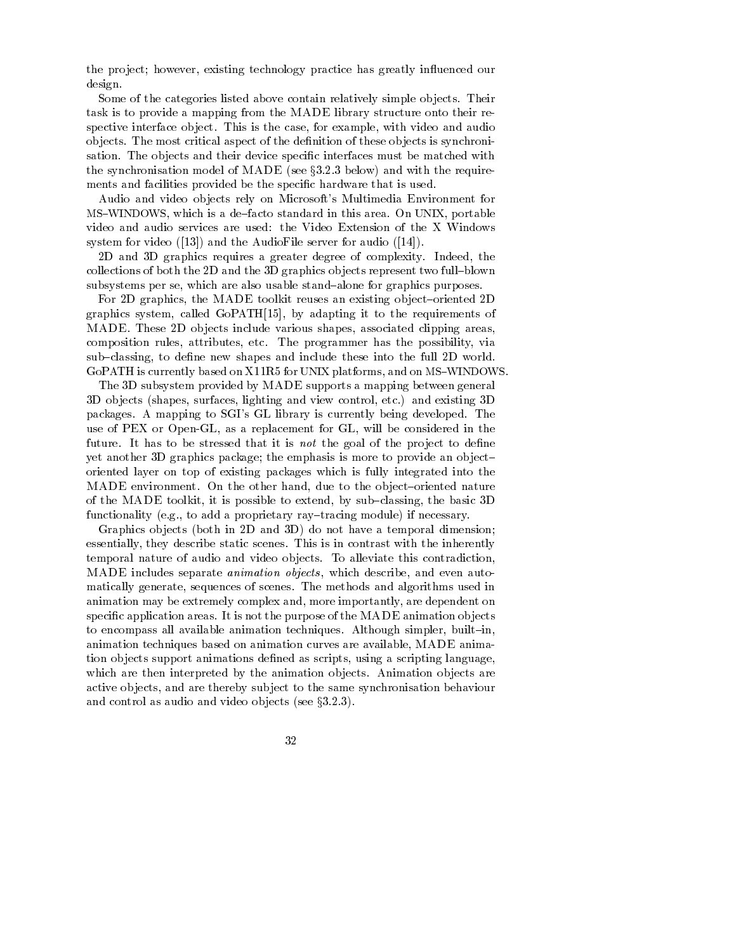the project; however, existing technology practice has greatly influenced our design

Some of the categories listed above contain relatively simple objects. Their task is to provide a mapping from the MADE library structure onto their re spective interface object. This is the case, for example, with video and audio ob jects The most critical aspect of the de-nition of these ob jects is synchroni sation The ob jects and their device speci-c interfaces must be matched with the synchronisation model of MaDE is the Section with the section of the required the section of  $\mathcal{S}$ ments and facilities provided be the specific material is used that is used that is

Audio and video objects rely on Microsoft's Multimedia Environment for windows which is a definition of the district standard in this area on UNIX portable in the UNIX portable in th video and audio services are used: the Video Extension of the X Windows system for video and the AudioFile server for audio

2D and 3D graphics requires a greater degree of complexity. Indeed, the collections of both the 2D and the 3D graphics objects represent two full-blown subsystems per se, which are also usable stand-alone for graphics purposes.

For 2D graphics, the MADE toolkit reuses an existing object-oriented 2D graphics system, called GoPATH $[15]$ , by adapting it to the requirements of MADE. These 2D objects include various shapes, associated clipping areas, composition rules, attributes, etc. The programmer has the possibility, via substitute the new shapes and include the full de- $\mathcal{G}$  and  $\mathcal{G}$  for UNIX platforms and on  $\mathcal{G}$  for UNIX platforms and on MS-VIII platforms and on MS-VIII platforms and on  $\mathcal{G}$ 

The 3D subsystem provided by MADE supports a mapping between general D ob jects shapes surfaces lighting and view control etc and existing D packages. A mapping to SGI's GL library is currently being developed. The use of PEX or Open-GL, as a replacement for GL, will be considered in the future It has to be stressed that it is not the goal of the pro ject to de-ne yet another 3D graphics package; the emphasis is more to provide an objectoriented layer on top of existing packages which isfully integrated into the MADE environment. On the other hand, due to the object-oriented nature of the MADE toolkit, it is possible to extend, by  $sub-classing$ , the basic 3D functionality eg to add a proprietary ray tracing module if necessary

Graphics ob jects both in D and D do not have a temporal dimension essentially, they describe static scenes. This is in contrast with the inherently temporal nature of audio and video objects. To alleviate this contradiction, MADE includes separate *animation objects*, which describe, and even automatically generate, sequences of scenes. The methods and algorithms used in animation may be extremely complex and, more importantly, are dependent on speci-c application areas It is not the purpose of the MADE animation ob jects to encompass all available animation techniques. Although simpler, built-in, animation techniques based on animation curves are available, MADE animation ob jects support animations de-ned as scripts using a scripting language which are then interpreted by the animation objects. Animation objects are active objects, and are thereby subject to the same synchronisation behaviour and control as and video video objects (see jects).

32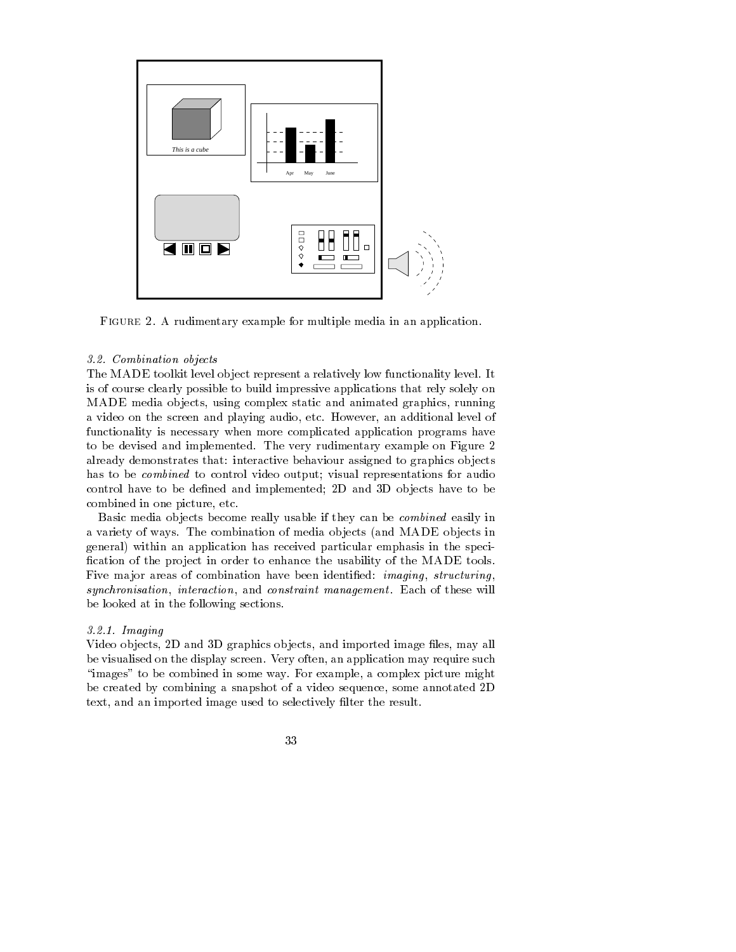

FIGURE 2. A rudimentary example for multiple media in an application.

## 3.2 Combination objects

The MADE toolkit level object represent a relatively low functionality level. It is of course clearly possible to build impressive applications that rely solely on MADE media objects, using complex static and animated graphics, running a video on the screen and playing audio, etc. However, an additional level of functionality is necessary when more complicated application programs have to be devised and implemented. The very rudimentary example on Figure 2 already demonstrates that: interactive behaviour assigned to graphics objects has to be combined to control video output; visual representations for audio control have to be denoted the completential as there as a part have to be a set combined in one picture, etc.

Basic media ob jects become really usable if they can be combined easily in a variety of ways The combination of media ob jects and MADE ob jects in general) within an application has received particular emphasis in the speci--cation of the pro ject in order to enhance the usability of the MADE tools Five ma jor areas of combination have been identi-ed imaging structuring synchronisation, interaction, and constraint management. Each of these will be looked at in the following sections

# 321 Imaging

Video ob jects D and D graphics ob jects and imported image -les may all be visualised on the display screen. Very often, an application may require such "images" to be combined in some way. For example, a complex picture might be created by combining a snapshot of a video sequence, some annotated 2D terry and a dimensional computation to selectively correct the results.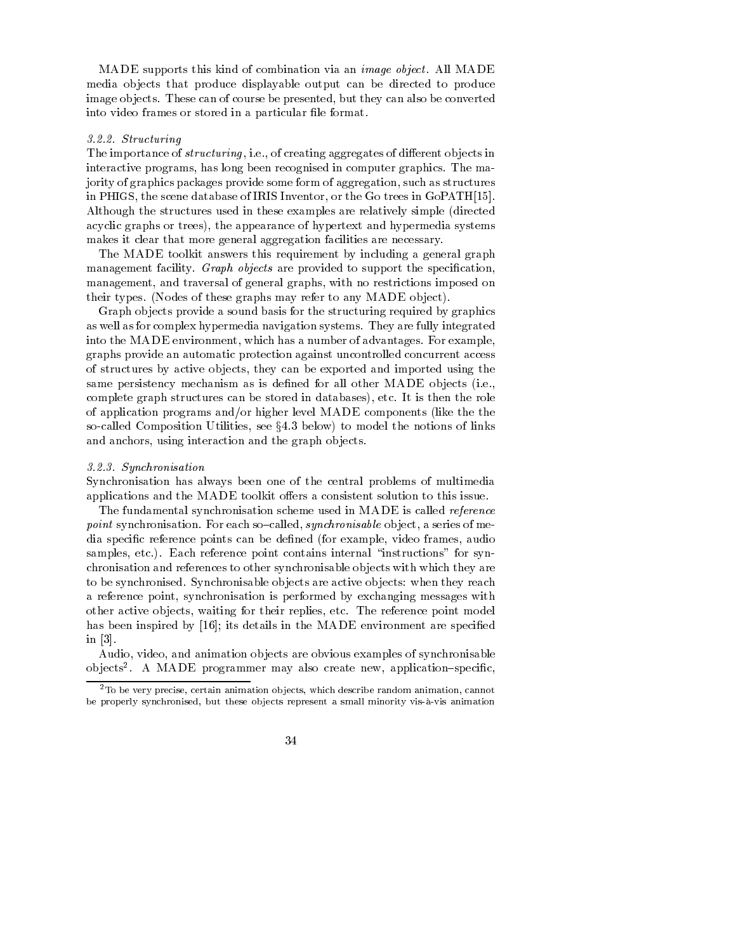MADE supports this kind of combination via an *image object*. All MADE media objects that produce displayable output can be directed to produce image objects. These can of course be presented, but they can also be converted into video frames or stored in a particular -le format

## 3.2.2 Structuring

The importance of *structuring*, i.e., of creating aggregates of different objects in interactive programs has long been recognised in computer graphics The ma jority of graphics packages provide some form of aggregation, such as structures in PHIGS, the scene database of IRIS Inventor, or the Go trees in GoPATH[15]. Although the structures used in these examples are relatively simple directed acyclic graphs or trees), the appearance of hypertext and hypermedia systems makes it clear that more general aggregation facilities are necessary.

The MADE toolkit answers this requirement by including a general graph management facility Graph objects are provided to support the specification  $\mathcal{L}_{\mathcal{A}}$ management, and traversal of general graphs, with no restrictions imposed on  $\mathcal{L}$  the set there are the set  $\mathcal{L}$  and  $\mathcal{L}$  and  $\mathcal{L}$  and  $\mathcal{L}$  and  $\mathcal{L}$  and  $\mathcal{L}$  and  $\mathcal{L}$ 

Graph objects provide a sound basis for the structuring required by graphics as well as for complex hypermedia navigation systems They are fully integrated into the MADE environment, which has a number of advantages. For example, graphs provide an automatic protection against uncontrolled concurrent access of structures by active objects, they can be exported and imported using the same persistency mechanism as is de-ned for all other MADE ob jects ie complete graph structures can be stored in databases), etc. It is then the role of application programs andor higher level MADE components like the the so-called Composition Utilities, see  $§4.3$  below) to model the notions of links and anchors, using interaction and the graph objects.

#### Synchronisation

Synchronisation has always been one of the central problems of multimedia applications and the MADE toolkit offers a consistent solution to this issue.

The fundamental synchronisation scheme used in MADE is called reference point synchronisation. For each so-called, synchronisable object, a series of media speci-c reference points can be de-ned for example video frames audio samples, etc.). Each reference point contains internal "instructions" for synchronisation and references to other synchronisable ob jects with which they are to be synchronised. Synchronisable objects are active objects: when they reach a reference point, synchronisation is performed by exchanging messages with other active objects, waiting for their replies, etc. The reference point model has been inspired by its details in the MADE environment are speci-ed in  $[3]$ .

Audio, video, and animation objects are obvious examples of synchronisable objects . A MADE programmer may also create new, application—specific,  $\sim$ 

<sup>-</sup>To be very precise certain animation ob jects which describe random animation cannot be properly synchronised but these ob jects represent a small minority vis a vis animation

<sup>34</sup>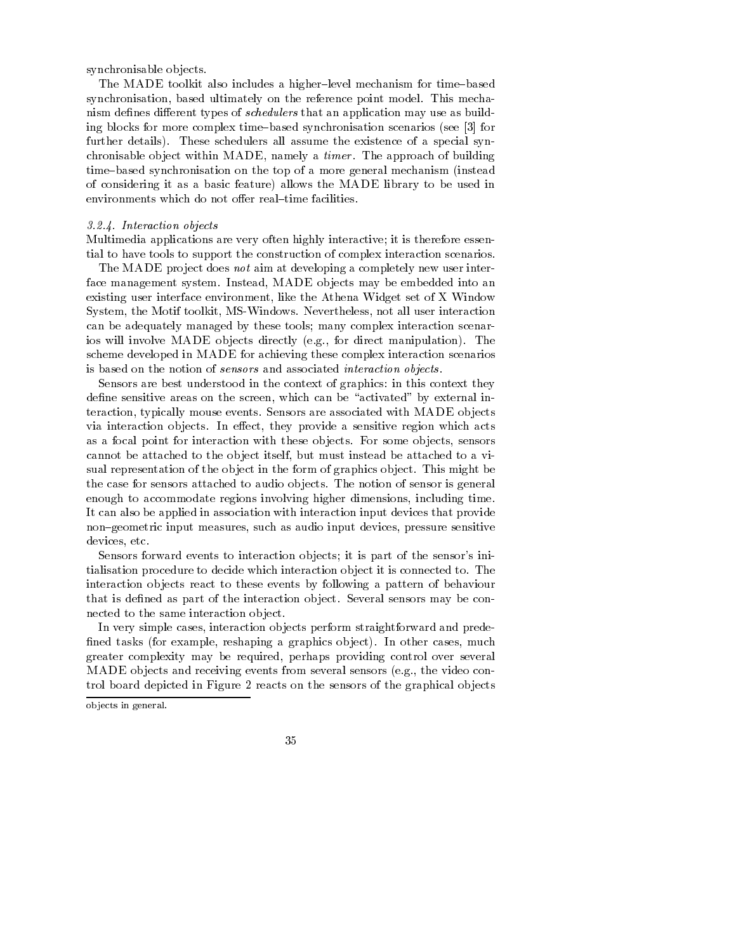synchronisable objects.

The MADE toolkit also includes a higher-level mechanism for time-based synchronisation, based ultimately on the reference point model. This mechanism de-nes dierent types of schedulers that an application may use as build ing blocks for more complex time based synchronisation scenarios see for further details). These schedulers all assume the existence of a special synchronisable object within MADE, namely a *timer*. The approach of building time based synchronisation on the top of a more general mechanism instead of considering it as a basic feature) allows the MADE library to be used in environments which do not offer real-time facilities.

# 3.2.4. Interaction objects

Multimedia applications are very often highly interactive; it is therefore essential to have tools to support the construction of complex interaction scenarios

The MADE project does not aim at developing a completely new user interface management system. Instead, MADE objects may be embedded into an existing user interface environment, like the Athena Widget set of X Window System, the Motif toolkit, MS-Windows. Nevertheless, not all user interaction can be adequately managed by these tools; many complex interaction scenarios will involve MADE ob jects directly eg for direct manipulation The scheme developed in MADE for achieving these complex interaction scenarios is based on the notion of sensors and associated interaction objects.

Sensors are best understood in the context of graphics in this context they de-ne sensitive areas on the screen which can be activated by external in teraction typically mouse events Sensors are associated with MADE ob jects via interaction objects. In effect, they provide a sensitive region which acts as a focal point for interaction with these objects. For some objects, sensors cannot be attached to the object itself, but must instead be attached to a visual representation of the object in the form of graphics object. This might be the case for sensors attached to audio objects. The notion of sensor is general enough to accommodate regions involving higher dimensions including time It can also be applied in association with interaction input devices that provide non-geometric input measures, such as audio input devices, pressure sensitive devices, etc.

Sensors forward events to interaction objects; it is part of the sensor's initialisation procedure to decide which interaction ob ject it is connected to The interaction ob jects react to these events by following a pattern of behaviour that is de-ned as part of the interaction ob ject Several sensors may be con nected to the same interaction object.

In very simple cases, interaction objects perform straightforward and prede--ned tasks for example reshaping a graphics ob ject In other cases much greater complexity may be required, perhaps providing control over several MADE ob jects and receiving events from several sensors eg the video con trol board depicted in Figure  reacts on the sensors of the graphical ob jects



ob jects in general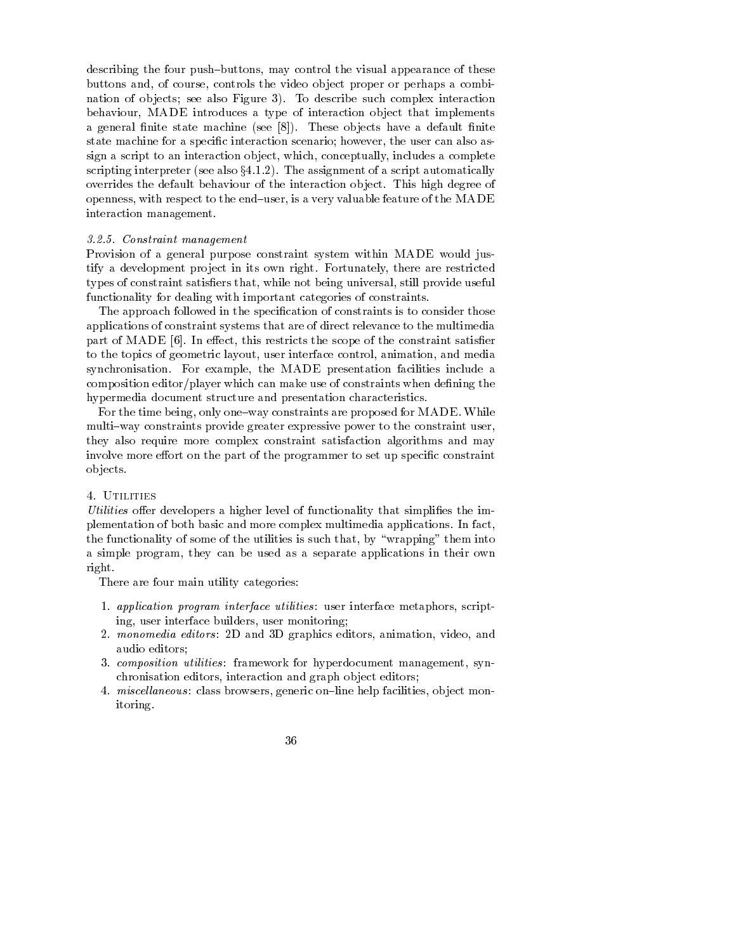describing the four push-buttons, may control the visual appearance of these buttons and, of course, controls the video object proper or perhaps a combination of objects; see also Figure 3). To describe such complex interaction behaviour, MADE introduces a type of interaction object that implements a general - nite state machine machine state machine state machine state machine state machine state machine s state machine for a speci-c interaction scenario however the user can also as sign a script to an interaction object, which, conceptually, includes a complete scripting interpreters (see also yourself) was also yourself as strongly and also provided also also also also overrides the default behaviour of the interaction object. This high degree of openness, with respect to the end-user, is a very valuable feature of the MADE interaction management

### Constraint management

Provision of a general purpose constraint system within MADE would jus tify a development project in its own right. Fortunately, there are restricted types of constraint satis-ers that while not being universal still provide useful functionality for dealing with important categories of constraints

The approach followed in the speci-cation of constraints is to consider those applications of constraint systems that are of direct relevance to the multimedia part of MADE In eect this restricts the scope of the constraint satis-er to the topics of geometric layout, user interface control, animation, and media synchronisation. For example, the MADE presentation facilities include a composition editorplayer which can make use of constraints when de-ning the hypermedia document structure and presentation characteristics

For the time being, only one-way constraints are proposed for MADE. While multi-way constraints provide greater expressive power to the constraint user, they also require more complex constraint satisfaction algorithms and may involve more eort on the part of the programmer to set up speci-c constraint ob jects

Utilities oer developers a higher level of functionality that simpli-es the im plementation of both basic and more complex multimedia applications. In fact, the functionality of some of the utilities is such that, by "wrapping" them into a simple program, they can be used as a separate applications in their own right

There are four main utility categories:

- 1. application program interface utilities: user interface metaphors, scripting, user interface builders, user monitoring;
- 2. monomedia editors: 2D and 3D graphics editors, animation, video, and audio editors
- 3. *composition utilities*: framework for hyperdocument management, synchronisation editors, interaction and graph object editors;
- 4. miscellaneous: class browsers, generic on-line help facilities, object monitoring
	- 36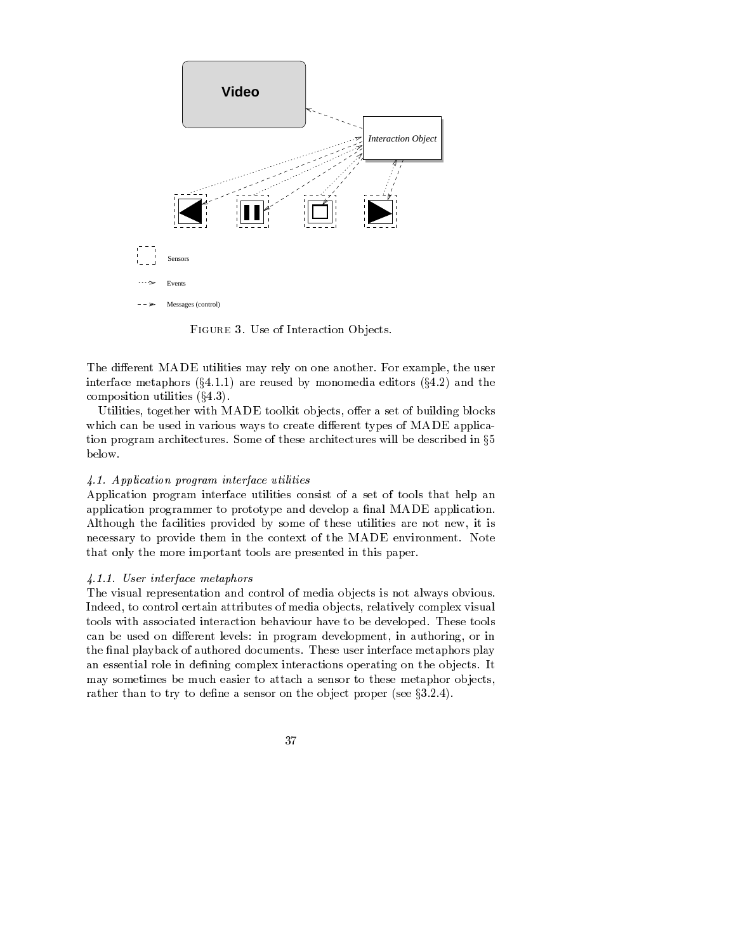

FIGURE 3. Use of Interaction Objects.

The different MADE utilities may rely on one another. For example, the user interface metaphors x are reused by monomedia editors x and the composition is a constant of the component of the set of the constant of the constant of the constant of the c

Utilities, together with MADE toolkit objects, offer a set of building blocks which can be used in various ways to create different types of MADE application program architectures. Some of these architectures will be described in  $\S5$ below

# Application program interface utilities

Application program interface utilities consist of a set of tools that help an application programmer to prototype and develop a -nal MADE application Although the facilities provided by some of these utilities are not new it is necessary to provide them in the context of the MADE environment. Note that only the more important tools are presented in this paper

### User interface metaphors

The visual representation and control of media ob jects is not always obvious Indeed, to control certain attributes of media objects, relatively complex visual tools with associated interaction behaviour have to be developed. These tools can be used on different levels: in program development, in authoring, or in the -nal playback of authored documents These user interface metaphors play an essential role in de-ning complex interactions operating on the ob jects It may sometimes be much easier to attach a sensor to these metaphor objects, rather than to the the de-main of sensor on the object proper just just  $\rho$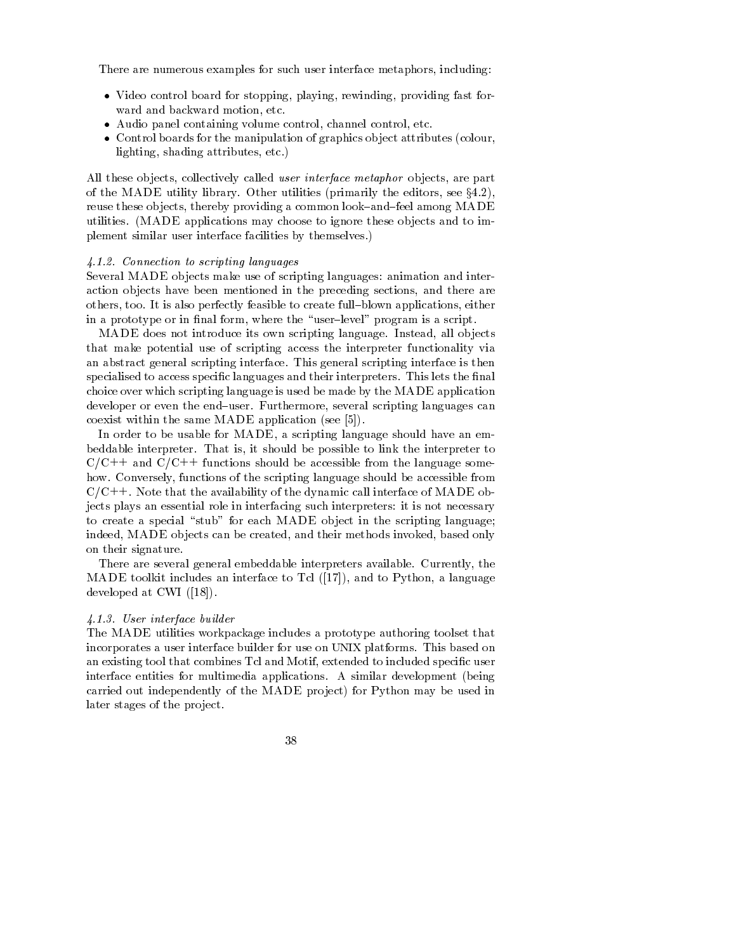There are numerous examples for such user interface metaphors, including:

- Video control board for stopping playing rewinding providing fast for ward and backward motion, etc.
- Audio panel containing volume control channel control etc
- Control boards for the manipulation of graphics ob ject attributes colour lighting, shading attributes, etc.)

All these objects, collectively called user interface metaphor objects, are part of the MADE utility library  $\mathcal{M}$  and editors see x. The editors see x. The editors see x. The editors see x. The editors see x. The editors see x. The editors see x. The editors see x. The editors see x. The editors s reuse these objects, thereby providing a common look-and-feel among MADE utilities MADE applications may choose to ignore these ob jects and to im plement similar user interface facilities by themselves

### Connection to scripting languages

Several MADE objects make use of scripting languages: animation and interaction objects have been mentioned in the preceding sections, and there are others, too. It is also perfectly feasible to create full-blown applications, either in a prototype or in - nalus the user where the user of the program is a script.

MADE does not introduce its own scripting language. Instead, all objects that make potential use of scripting access the interpreter functionality via an abstract general scripting interface This general scripting interface is then specialised to access speci-c languages and their interpreters This lets the -nal choice over which scripting language is used be made by the MADE application developer or even the end-user. Furthermore, several scripting languages can coexist with the same MADE application of the same MADE application of the same MADE application of the same M

In order to be usable for MADE, a scripting language should have an embeddable interpreter. That is, it should be possible to link the interpreter to  $C/C++$  and  $C/C++$  functions should be accessible from the language somehow. Conversely, functions of the scripting language should be accessible from  $C/C++$ . Note that the availability of the dynamic call interface of MADE objects plays an essential role in interfacing such interpreters it is not necessary to create a special "stub" for each MADE object in the scripting language; indeed, MADE objects can be created, and their methods invoked, based only on their signature

There are several general embeddable interpreters available. Currently, the MADE toolkit includes an interface to Tcl and to Python a language developed at CWI and CWI and CWI and CWI and CWI and CWI and CWI and CWI and CWI and CWI and CWI and CWI and C

# User interface builder

The MADE utilities workpackage includes a prototype authoring toolset that incorporates a user interface builder for use on UNIX platforms This based on and existing to be that completed to include that the complete to include the special special species interface entities for multimedia applications A similar development being carried out independently of the MADE project) for Python may be used in later stages of the project.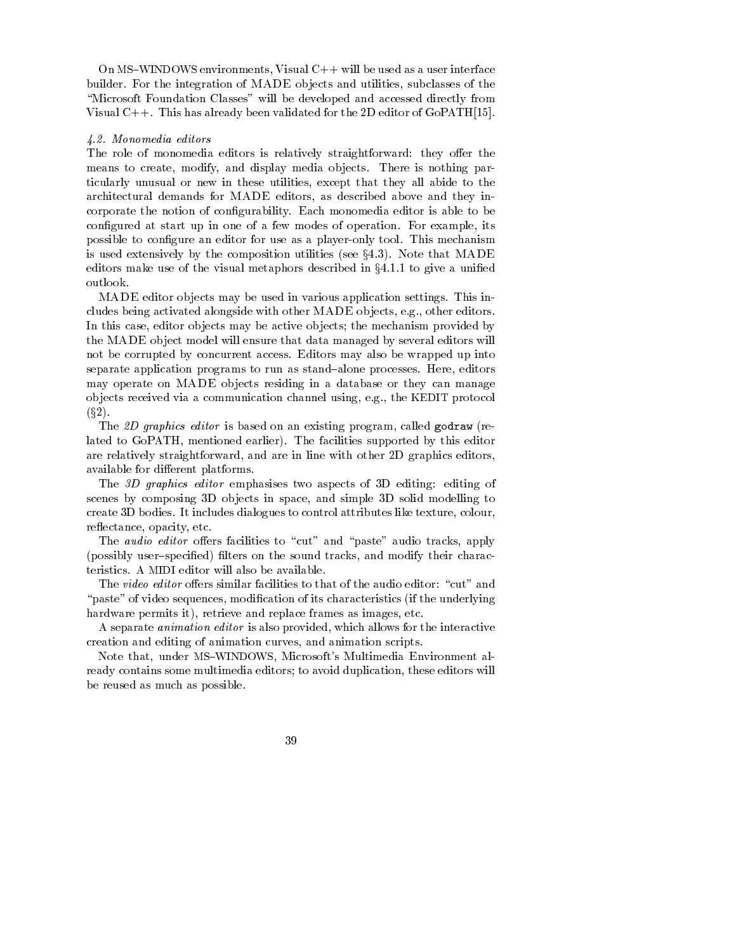on windows environments visual contracts in the use  $\alpha$  as a use of the use of the use of the use of the use of the builder. For the integration of MADE objects and utilities, subclasses of the "Microsoft Foundation Classes" will be developed and accessed directly from Visual  $C_{++}$ . This has already been validated for the 2D editor of GoPATH[15].

#### Monomedia editors

The role of monomedia editors is relatively straightforward: they offer the means to create, modify, and display media objects. There is nothing particularly unusual or new in these utilities, except that they all abide to the architectural demands for MADE editors, as described above and they incorporate the notion of con-gurability Each monomedia editor is able to be con-term at start up in one of a few modes of a few modes of a few modes of a few modes of operation For example its possible to consequent was associated was an experimental tool This mechanism as a player is an isother that the composition utilities (are given  $\mu$  , and the made  $\mu$ editors make use of the visual metaphors described in x to give a uni-ed

MADE editor objects may be used in various application settings. This includes being activated alongside with other MADE objects, e.g., other editors. In this case, editor objects may be active objects; the mechanism provided by the MADE ob ject model will ensure that data managed by several editors will not be corrupted by concurrent access Editors may also be wrapped up into separate application programs to run as stand-alone processes. Here, editors may operate on MADE objects residing in a database or they can manage objects received via a communication channel using, e.g., the KEDIT protocol  $x + y = 1$ 

The D graphics editor is based on an existing program called godraw re lated to GoPATH, mentioned earlier). The facilities supported by this editor are relatively straightforward, and are in line with other 2D graphics editors, available for different platforms.

The 3D graphics editor emphasises two aspects of 3D editing editing of scenes by composing 3D objects in space, and simple 3D solid modelling to create 3D bodies. It includes dialogues to control attributes like texture, colour, reflectance, opacity, etc.

The *audio editor* offers facilities to "cut" and "paste" audio tracks, apply possibly user speci-ed -lters on the sound tracks and modify their charac teristics A MIDI editor will also be available

The video editor offers similar facilities to that of the audio editor: "cut" and paste of video sequences modi-cation of its characteristics if the underlying hardware permits it), retrieve and replace frames as images, etc.

A separate *animation editor* is also provided, which allows for the interactive creation and editing of animation curves and animation scripts

Note that under MS-WINDOWS Microsofts Multimedia Environment al ready contains some multimedia editors; to avoid duplication, these editors will be reused as much as possible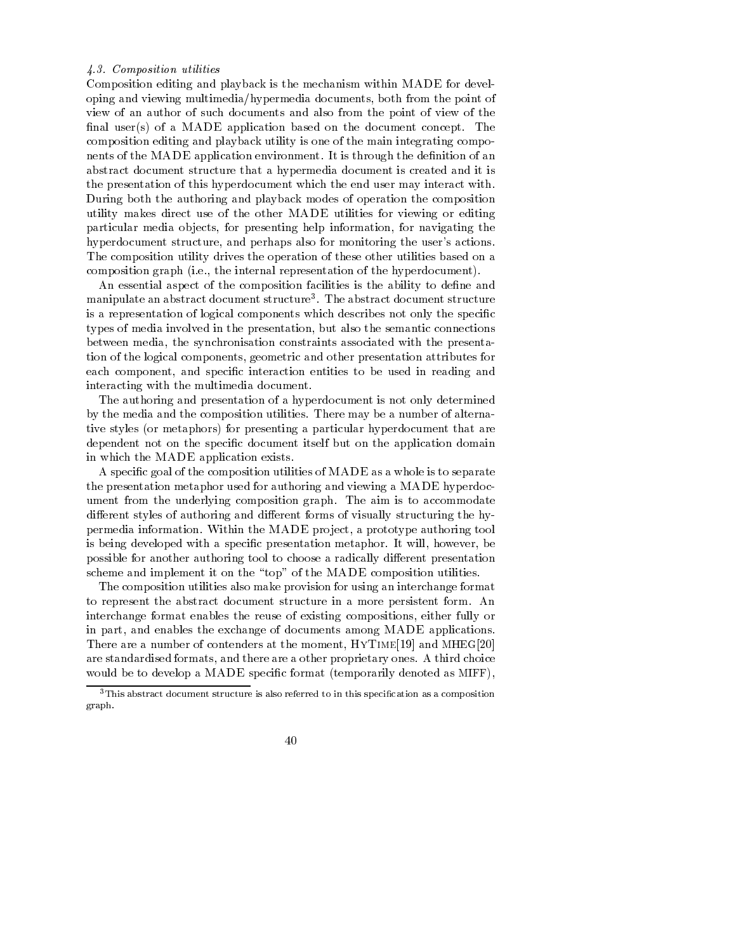### Composition utilities

Composition editing and playback is the mechanism within MADE for devel oping and viewing multimedia/hypermedia documents, both from the point of view of an author of such documents and also from the point of view of the nal user of a MADE application based on the document concept The document concept The document The document Th composition editing and playback utility is one of the main integrating compo nents of the MADE application environment It is the MADE application environment in the deabstract document structure that a hypermedia document is created and it is the presentation of this hyperdocument which the end user may interact with During both the authoring and playback modes of operation the composition utility makes direct use of the other MADE utilities for viewing or editing particular media objects, for presenting help information, for navigating the hyperdocument structure, and perhaps also for monitoring the user's actions. The composition utility drives the operation of these other utilities based on a composition graph ie the internal representation of the hyperdocument

An essential aspect of the composition facilities is the ability to de-ne and manipulate an abstract document structure  $\ldots$  The abstract document structure is a representation of logical components which describes not only the specific types of media involved in the presentation but also the semantic connections between media, the synchronisation constraints associated with the presentation of the logical components, geometric and other presentation attributes for each component and speci-c interaction entities to be used in reading and interacting with the multimedia document

The authoring and presentation of a hyperdocument is not only determined by the media and the composition utilities There may be a number of alterna tive styles or metaphors for presenting a particular hyperdocument that are dependent not on the speci-c document itself but on the application domain in which the MADE application exists

a special quaternal of the composition utilities of MADE as who who is to separate is to separate is the presentation metaphor used for authoring and viewing a MADE hyperdoc ument from the underlying composition graph. The aim is to accommodate different styles of authoring and different forms of visually structuring the hypermedia information. Within the MADE project, a prototype authoring tool is being developed with a speci-c presentation metaphor It will however be possible for another authoring tool to choose a radically different presentation scheme and implement it on the "top" of the MADE composition utilities.

The composition utilities also make provision for using an interchange format to represent the abstract document structure in a more persistent form An interchange format enables the reuse of existing compositions either fully or in part, and enables the exchange of documents among MADE applications. There are a number of contenders at the moment,  $HYTIME[19]$  and  $MHzG[20]$ are standardised formats and there are a other proprietary ones A third choice would be to develop a MADE speci-c format temporarily denoted as MIFF

 $\,$  - This abstract document structure is also referred to in this specification as a composition  $\,$ graph

<sup>40</sup>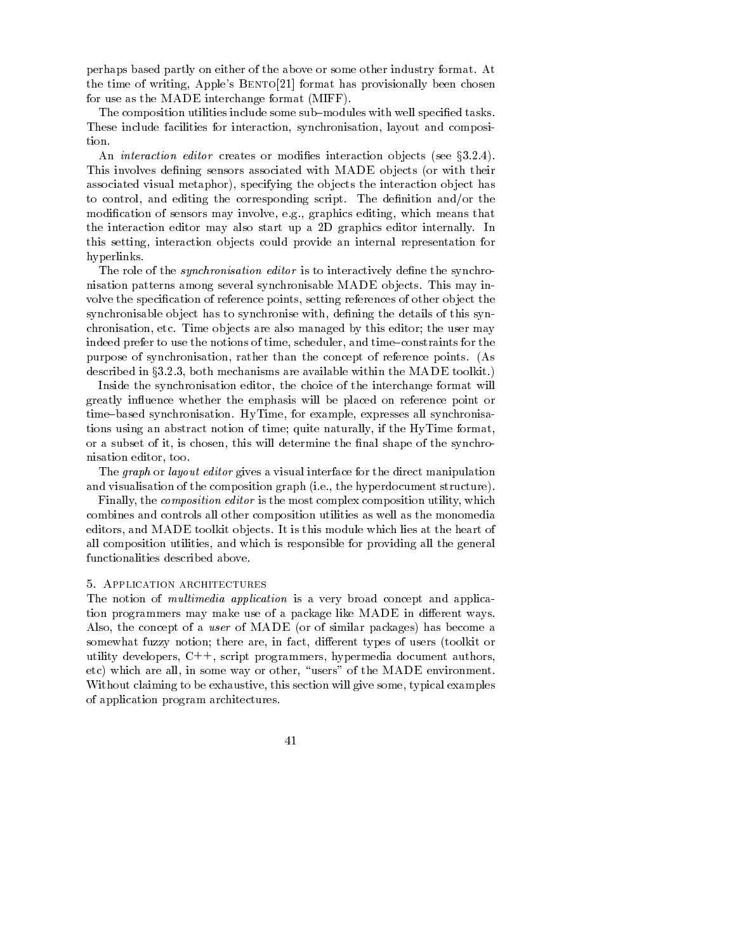perhaps based partly on either of the above or some other industry format At the time of writing, Apple's  $BENTO[21]$  format has provisionally been chosen for use as the MADE interchange format MIFF

The composition utilities include some sub modules with well speci-ed tasks These include facilities for interaction, synchronisation, layout and composition.

An interaction editor creates or modi-es interaction ob jects see x This involves de-ning sensors associated with MADE ob jects or with their associated visual metaphor), specifying the objects the interaction object has to control and editing the corresponding script The de-nition andor the modi-cation of sensors may involve eg graphics editing which means that the interaction editor may also start up a D graphics editor internally In this setting, interaction objects could provide an internal representation for hyperlinks

The role of the synchronisation editor is to interactively de-ne the synchro nisation patterns among several synchronisable MADE objects. This may involve the speci-cation of reference points setting references of other ob ject the synchronisable ob ject has to synchronise with de-ning the details of this syn chronisation, etc. Time objects are also managed by this editor; the user may indeed prefer to use the notions of time, scheduler, and time-constraints for the purpose of synchronisation rather than the concept of reference points As described in  $\S 3.2.3$ , both mechanisms are available within the MADE toolkit.)

Inside the synchronisation editor, the choice of the interchange format will greatly influence whether the emphasis will be placed on reference point or time-based synchronisation. HyTime, for example, expresses all synchronisations using an abstract notion of time; quite naturally, if the HyTime format, or a subset of it is chosen this will determine the - and shape of the sympathy nisation editor, too.

The *graph* or *layout editor* gives a visual interface for the direct manipulation and visualisation of the composition graph (i.e., the representation and interesting)

Finally, the *composition editor* is the most complex composition utility, which combines and controls all other composition utilities as well as the monomedia editors, and MADE toolkit objects. It is this module which lies at the heart of all composition utilities, and which is responsible for providing all the general functionalities described above

The notion of *multimedia application* is a very broad concept and application programmers may make use of a package like MADE in different ways. Also the concept of a user of MADE or of similar packages has become a somewhat fuzzy notion there are in fact dierent types of users toolkit or utility developers,  $C++$ , script programmers, hypermedia document authors, etc) which are all, in some way or other, "users" of the MADE environment. Without claiming to be exhaustive, this section will give some, typical examples of application program architectures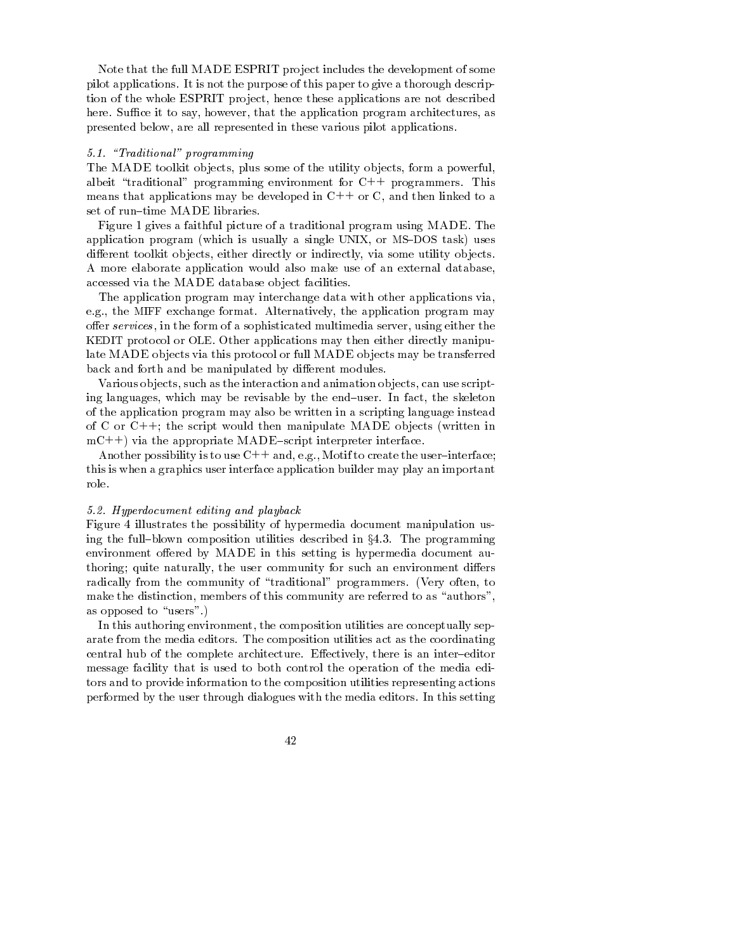Note that the full MADE ESPRIT project includes the development of some pilot applications It is not the purpose of this paper to give a thorough descrip tion of the whole ESPRIT project, hence these applications are not described here. Suffice it to say, however, that the application program architectures, as presented below, are all represented in these various pilot applications.

#### Traditional programming

The MADE toolkit objects, plus some of the utility objects, form a powerful, albeit "traditional" programming environment for  $C++$  programmers. This means that applications may be developed in  $C++$  or C, and then linked to a set of run-time MADE libraries.

Figure 1 gives a faithful picture of a traditional program using MADE. The which is usually a single usually a single UNIX or MS-Corpus and the UNIX or MS-Corpus and the UNIX or MS-CORPU different toolkit objects, either directly or indirectly, via some utility objects. A more elaborate application would also make use of an external database accessed via the MADE database ob ject facilities

The application program may interchange data with other applications via e.g., the MIFF exchange format. Alternatively, the application program may offer services, in the form of a sophisticated multimedia server, using either the KEDIT protocol or OLE. Other applications may then either directly manipulate MADE objects via this protocol or full MADE objects may be transferred back and forth and be manipulated by different modules.

Various objects, such as the interaction and animation objects, can use scripting languages, which may be revisable by the end-user. In fact, the skeleton of the application program may also be written in a scripting language instead of C or C the stript would then manipulate Million (written in  $mC++$ ) via the appropriate MADE-script interpreter interface.

Another possibility is to use  $C++$  and, e.g., Motif to create the user-interface; this is when a graphics user interface application builder may play an important role

#### Hyperdocument editing and playback

Figure 4 illustrates the possibility of hypermedia document manipulation using the full-blown composition utilities described in  $\S 4.3$ . The programming environment offered by MADE in this setting is hypermedia document authoring; quite naturally, the user community for such an environment differs radically from the community of traditional programmers Very often to make the distinction, members of this community are referred to as "authors", as opposed to "users".)

In this authoring environment, the composition utilities are conceptually separate from the media editors. The composition utilities act as the coordinating central hub of the complete architecture. Effectively, there is an inter-editor message facility that is used to both control the operation of the media edi tors and to provide information to the composition utilities representing actions performed by the user through dialogues with the media editors In this setting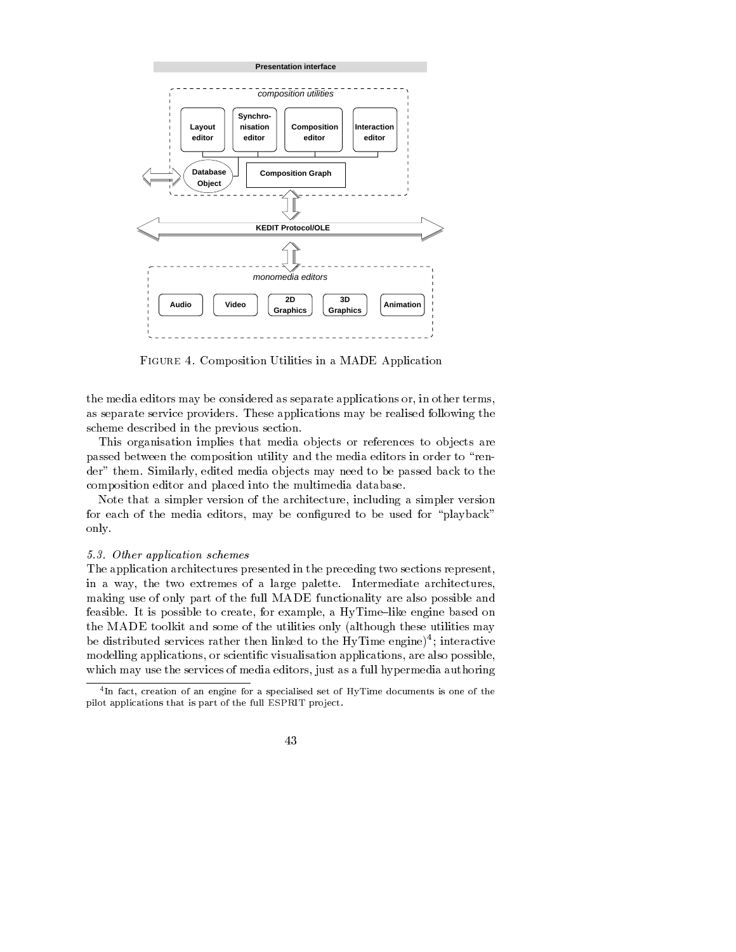

FIGURE 4. Composition Utilities in a MADE Application

the media editors may be considered as separate applications or in other terms as separate service providers. These applications may be realised following the scheme described in the previous section

This organisation implies that media objects or references to objects are passed between the composition utility and the media editors in order to "render" them. Similarly, edited media objects may need to be passed back to the composition editor and placed into the multimedia database

Note that a simpler version of the architecture, including a simpler version for each of the media editors may be con-gured to be used for playback only

## 5.3 Other application schemes

The application architectures presented in the preceding two sections represent in a way, the two extremes of a large palette. Intermediate architectures, making use of only part of the full MADE functionality are also possible and feasible. It is possible to create, for example, a  $HvTime$ -like engine based on the MADE toolkit and some of the utilities only although these utilities may be distributed services rather then linked to the HyTime engine)"; interactive modelling applications or scienti-c visualisation applications are also possible which may use the services of media editors, just as a full hypermedia authoring

In fact creation of an engine for a specialised set of HyTime documents is one of the pilot applications that is part of the full ESPRIT project.

<sup>43</sup>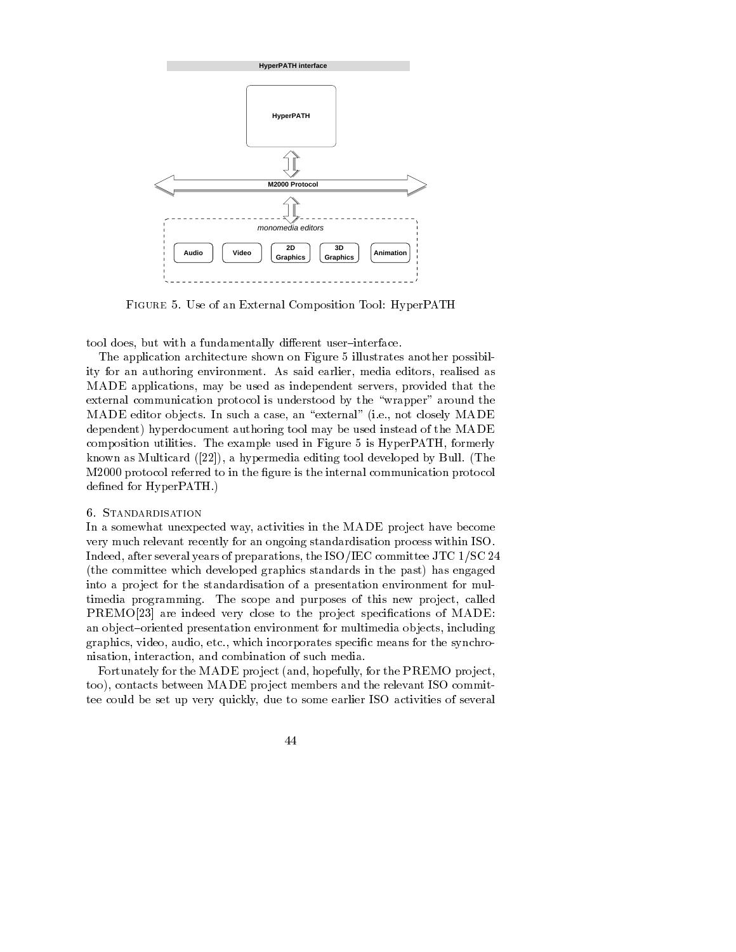

FIGURE 5. Use of an External Composition Tool: HyperPATH

tool does, but with a fundamentally different user-interface.

The application architecture shown on Figure 5 illustrates another possibility for an authoring environment. As said earlier, media editors, realised as MADE applications, may be used as independent servers, provided that the external communication protocol is understood by the "wrapper" around the MADE editor ob jects In such a case an external ie not closely MADE dependent) hyperdocument authoring tool may be used instead of the MADE composition utilities. The example used in Figure 5 is HyperPATH, formerly known as Multicard  a hypermedia editing tool developed by Bull The M protocol referred to in the -gure is the internal communication protocol ned for HyperPath  $\sim$  100 mm  $\sim$  100 mm  $\sim$  100 mm  $\sim$  100 mm  $\sim$  100 mm  $\sim$ 

In a somewhat unexpected way, activities in the MADE project have become very much relevant recently for an ongoing standardisation process within ISO Indeed, after several years of preparations, the ISO/IEC committee JTC  $1/\text{SC } 24$  the committee which developed graphics standards in the past has engaged into a project for the standardisation of a presentation environment for multimedia programming. The scope and purposes of this new project, called PREMO are indeed very close to the pro ject speci-cations of MADE an object-oriented presentation environment for multimedia objects, including graphics video audio etc which incorporates speci-c means for the synchro nisation, interaction, and combination of such media.

Fortunately for the MADE pro ject and hopefully for the PREMO pro ject too), contacts between MADE project members and the relevant ISO committee could be set up very quickly due to some earlier ISO activities of several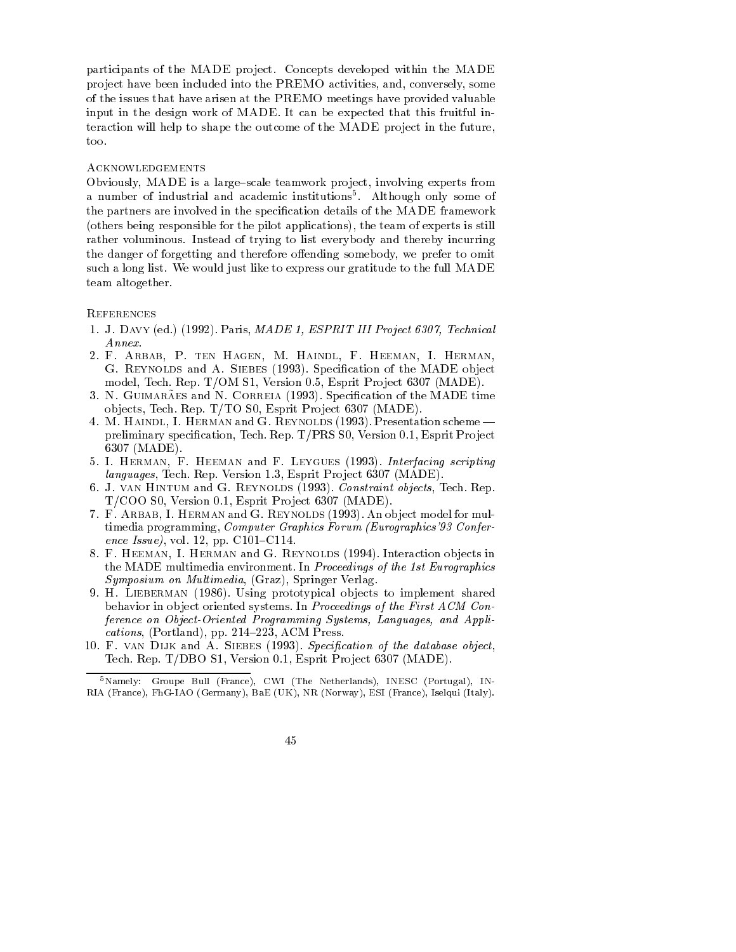participants of the MADE project. Concepts developed within the MADE project have been included into the PREMO activities, and, conversely, some of the issues that have arisen at the PREMO meetings have provided valuable input in the design work of MADE It can be expected that this fruitful in teraction will help to shape the outcome of the MADE project in the future, too

### **ACKNOWLEDGEMENTS**

Obviously, MADE is a large-scale teamwork project, involving experts from a number of industrial and academic institutions Although only some of the partners are involved in the speci-cation details of the MADE framework others being responsible for the pilot applications the pilot applications is still applications in the team of experimental  $\mathcal{L}$ rather voluminous. Instead of trying to list everybody and thereby incurring the danger of forgetting and therefore offending somebody, we prefer to omit such a long list. We would just like to express our gratitude to the full MADE team altogether

#### **REFERENCES**

- J- Davy ed  Paris MADE ESPRIT III Project 
Technical Annex
- F- Arbab P- ten Hagen M- Haindl F- Heeman I- Herman cation of the Made of the Made observed and A-siemed and A-siemed and the Made observed and the MADE observed model Tech Rep Top S Version in the September of the second second second second second second second second s
- of it corresponds and it contains (1990), specification of the MIDE time ob jects Tech Rep Tech Rep Tech Rep Tech Rep Tech Rep Tech Rep Tech Rep Tech Rep Tech Rep Tech Rep Tech Rep Te
- $\mathcal{A}$  Free Haindle I-man and G- $\mathcal{A}$ presion to the continued with the proof of the state  $\alpha$  is the state  $\alpha$  in the state  $\alpha$  is the state of  $\alpha$ MADE A STREET AND THE STREET AND THE STREET AND THE STREET AND THE STREET AND THE STREET AND THE STREET AND THE
- I-Leygues I-Leygues in the following scripting scripting scripting scripting scripting scripting scripting scripting scripting scripting scripting scripting scripting scripting scripting scripting scripting scripting scrip languages Tech Rep Version Esprit Pro ject 
 MADE
- ol it it and and form and the second protects in the constraint of the second start of  $\mathbb{P}^1$ TCOO S Version Esprit Pro ject 
 MADE
- F- Arbab I- Herman and G- Reynolds An ob ject model for mul timedia programming, Computer Graphics Forum (Eurographics '93 Conference Issue), vol. 12, pp.  $C101-C114$ .
- . Het and Herman III Herman III Herman III Herman III Herman III Herman III Herman III Herman II the MADE multimedia environment. In Proceedings of the 1st Eurographics Symposium on Multimedia Graz Springer Verlag
- H- Lieberman Using prototypical ob jects to implement shared behavior in object oriented systems. In Proceedings of the First ACM Conference on Object-Oriented Programming Systems Languages and Applications Portland pp   ACM Press
- F- van Dijk and A- Siebes Specication of the database object Tech Rep TDB S Version and Technical Services (2000) (2000) - 1

<sup>&</sup>lt;sup>5</sup>Namely: Groupe Bull (France), CWI (The Netherlands), INESC (Portugal), IN-RIA (France), FhG-IAO (Germany), BaE (UK), NR (Norway), ESI (France), Iselqui (Italy).

<sup>45</sup>